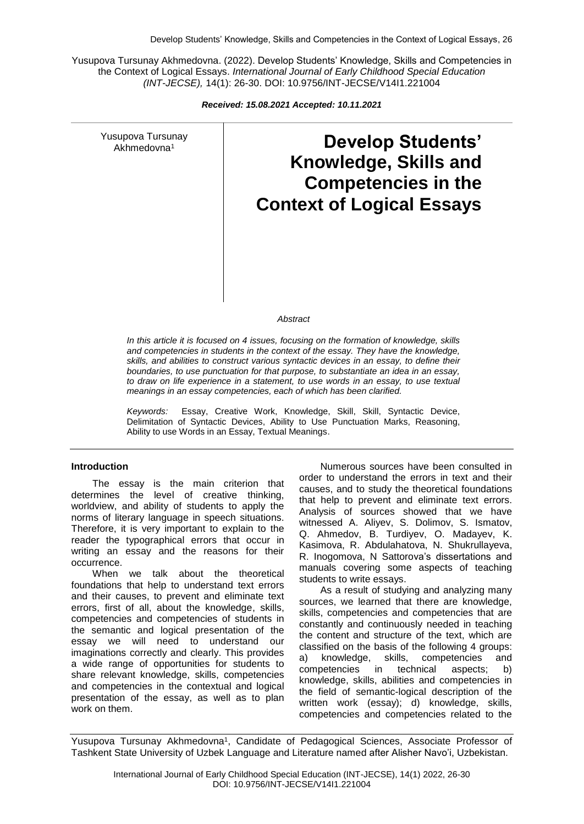Yusupova Tursunay Akhmedovna. (2022). Develop Students' Knowledge, Skills and Competencies in the Context of Logical Essays. *International Journal of Early Childhood Special Education (INT-JECSE),* 14(1): 26-30. DOI: 10.9756/INT-JECSE/V14I1.221004

*Received: 15.08.2021 Accepted: 10.11.2021*

Yusupova Tursunay

# supova Tursunay **Develop Students' Knowledge, Skills and Competencies in the Context of Logical Essays**

*Abstract*

*In this article it is focused on 4 issues, focusing on the formation of knowledge, skills and competencies in students in the context of the essay. They have the knowledge, skills, and abilities to construct various syntactic devices in an essay, to define their boundaries, to use punctuation for that purpose, to substantiate an idea in an essay, to draw on life experience in a statement, to use words in an essay, to use textual meanings in an essay competencies, each of which has been clarified.*

*Keywords:* Essay, Creative Work, Knowledge, Skill, Skill, Syntactic Device, Delimitation of Syntactic Devices, Ability to Use Punctuation Marks, Reasoning, Ability to use Words in an Essay, Textual Meanings.

## **Introduction**

The essay is the main criterion that determines the level of creative thinking, worldview, and ability of students to apply the norms of literary language in speech situations. Therefore, it is very important to explain to the reader the typographical errors that occur in writing an essay and the reasons for their occurrence.

When we talk about the theoretical foundations that help to understand text errors and their causes, to prevent and eliminate text errors, first of all, about the knowledge, skills, competencies and competencies of students in the semantic and logical presentation of the essay we will need to understand our imaginations correctly and clearly. This provides a wide range of opportunities for students to share relevant knowledge, skills, competencies and competencies in the contextual and logical presentation of the essay, as well as to plan work on them.

Numerous sources have been consulted in order to understand the errors in text and their causes, and to study the theoretical foundations that help to prevent and eliminate text errors. Analysis of sources showed that we have witnessed A. Aliyev, S. Dolimov, S. Ismatov, Q. Ahmedov, B. Turdiyev, O. Madayev, K. Kasimova, R. Abdulahatova, N. Shukrullayeva, R. Inogomova, N Sattorova's dissertations and manuals covering some aspects of teaching students to write essays.

As a result of studying and analyzing many sources, we learned that there are knowledge, skills, competencies and competencies that are constantly and continuously needed in teaching the content and structure of the text, which are classified on the basis of the following 4 groups: a) knowledge, skills, competencies and competencies in technical aspects; b) knowledge, skills, abilities and competencies in the field of semantic-logical description of the written work (essay); d) knowledge, skills, competencies and competencies related to the

Yusupova Tursunay Akhmedovna<sup>1</sup>, Candidate of Pedagogical Sciences, Associate Professor of Tashkent State University of Uzbek Language and Literature named after Alisher Navo'i, Uzbekistan.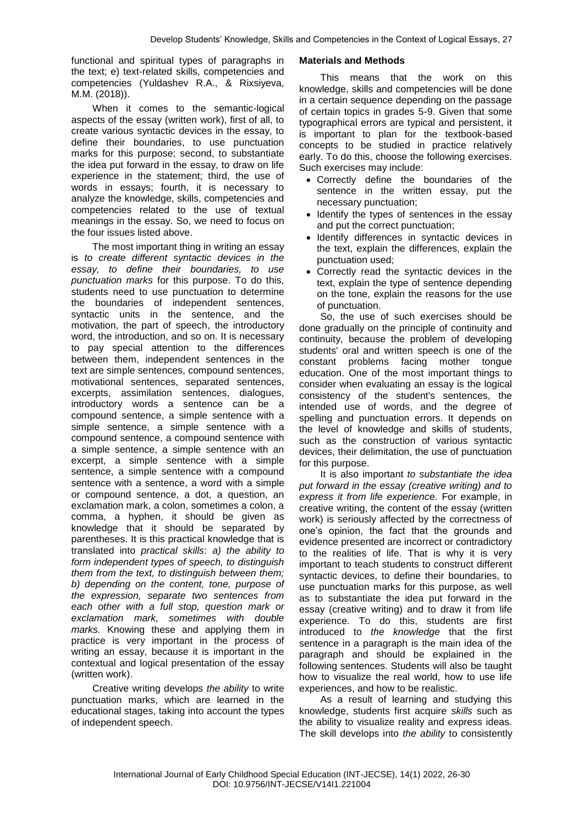functional and spiritual types of paragraphs in the text; e) text-related skills, competencies and competencies (Yuldashev R.A., & Rixsiyeva, M.M. (2018)).

When it comes to the semantic-logical aspects of the essay (written work), first of all, to create various syntactic devices in the essay, to define their boundaries, to use punctuation marks for this purpose; second, to substantiate the idea put forward in the essay, to draw on life experience in the statement; third, the use of words in essays; fourth, it is necessary to analyze the knowledge, skills, competencies and competencies related to the use of textual meanings in the essay. So, we need to focus on the four issues listed above.

The most important thing in writing an essay is *to create different syntactic devices in the essay, to define their boundaries, to use punctuation marks* for this purpose. To do this, students need to use punctuation to determine the boundaries of independent sentences, syntactic units in the sentence, and the motivation, the part of speech, the introductory word, the introduction, and so on. It is necessary to pay special attention to the differences between them, independent sentences in the text are simple sentences, compound sentences, motivational sentences, separated sentences, excerpts, assimilation sentences, dialogues, introductory words a sentence can be a compound sentence, a simple sentence with a simple sentence, a simple sentence with a compound sentence, a compound sentence with a simple sentence, a simple sentence with an excerpt, a simple sentence with a simple sentence, a simple sentence with a compound sentence with a sentence, a word with a simple or compound sentence, a dot, a question, an exclamation mark, a colon, sometimes a colon, a comma, a hyphen, it should be given as knowledge that it should be separated by parentheses. It is this practical knowledge that is translated into *practical skills*: *a) the ability to form independent types of speech, to distinguish them from the text, to distinguish between them; b) depending on the content, tone, purpose of the expression, separate two sentences from each other with a full stop, question mark or exclamation mark, sometimes with double marks.* Knowing these and applying them in practice is very important in the process of writing an essay, because it is important in the contextual and logical presentation of the essay (written work).

Creative writing develops *the ability* to write punctuation marks, which are learned in the educational stages, taking into account the types of independent speech.

## **Materials and Methods**

This means that the work on this knowledge, skills and competencies will be done in a certain sequence depending on the passage of certain topics in grades 5-9. Given that some typographical errors are typical and persistent, it is important to plan for the textbook-based concepts to be studied in practice relatively early. To do this, choose the following exercises. Such exercises may include:

- Correctly define the boundaries of the sentence in the written essay, put the necessary punctuation;
- Identify the types of sentences in the essay and put the correct punctuation;
- Identify differences in syntactic devices in the text, explain the differences, explain the punctuation used;
- Correctly read the syntactic devices in the text, explain the type of sentence depending on the tone, explain the reasons for the use of punctuation.

So, the use of such exercises should be done gradually on the principle of continuity and continuity, because the problem of developing students' oral and written speech is one of the constant problems facing mother tongue education. One of the most important things to consider when evaluating an essay is the logical consistency of the student's sentences, the intended use of words, and the degree of spelling and punctuation errors. It depends on the level of knowledge and skills of students, such as the construction of various syntactic devices, their delimitation, the use of punctuation for this purpose.

It is also important *to substantiate the idea put forward in the essay (creative writing) and to express it from life experience*. For example, in creative writing, the content of the essay (written work) is seriously affected by the correctness of one's opinion, the fact that the grounds and evidence presented are incorrect or contradictory to the realities of life. That is why it is very important to teach students to construct different syntactic devices, to define their boundaries, to use punctuation marks for this purpose, as well as to substantiate the idea put forward in the essay (creative writing) and to draw it from life experience. To do this, students are first introduced to *the knowledge* that the first sentence in a paragraph is the main idea of the paragraph and should be explained in the following sentences. Students will also be taught how to visualize the real world, how to use life experiences, and how to be realistic.

As a result of learning and studying this knowledge, students first acquire *skills* such as the ability to visualize reality and express ideas. The skill develops into *the ability* to consistently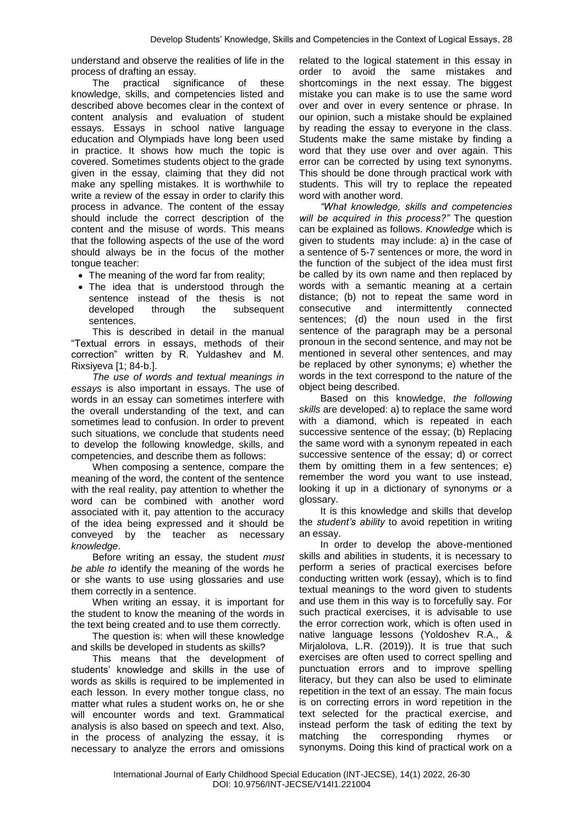understand and observe the realities of life in the process of drafting an essay.

The practical significance of these knowledge, skills, and competencies listed and described above becomes clear in the context of content analysis and evaluation of student essays. Essays in school native language education and Olympiads have long been used in practice. It shows how much the topic is covered. Sometimes students object to the grade given in the essay, claiming that they did not make any spelling mistakes. It is worthwhile to write a review of the essay in order to clarify this process in advance. The content of the essay should include the correct description of the content and the misuse of words. This means that the following aspects of the use of the word should always be in the focus of the mother tongue teacher:

- The meaning of the word far from reality;
- The idea that is understood through the sentence instead of the thesis is not developed through the subsequent sentences.

This is described in detail in the manual "Textual errors in essays, methods of their correction" written by R. Yuldashev and M. Rixsiyeva [1; 84-b.].

*The use of words and textual meanings in essays* is also important in essays. The use of words in an essay can sometimes interfere with the overall understanding of the text, and can sometimes lead to confusion. In order to prevent such situations, we conclude that students need to develop the following knowledge, skills, and competencies, and describe them as follows:

When composing a sentence, compare the meaning of the word, the content of the sentence with the real reality, pay attention to whether the word can be combined with another word associated with it, pay attention to the accuracy of the idea being expressed and it should be conveyed by the teacher as necessary *knowledge*.

Before writing an essay, the student *must be able to* identify the meaning of the words he or she wants to use using glossaries and use them correctly in a sentence.

When writing an essay, it is important for the student to know the meaning of the words in the text being created and to use them correctly.

The question is: when will these knowledge and skills be developed in students as skills?

This means that the development of students' knowledge and skills in the use of words as skills is required to be implemented in each lesson. In every mother tongue class, no matter what rules a student works on, he or she will encounter words and text. Grammatical analysis is also based on speech and text. Also, in the process of analyzing the essay, it is necessary to analyze the errors and omissions related to the logical statement in this essay in order to avoid the same mistakes and shortcomings in the next essay. The biggest mistake you can make is to use the same word over and over in every sentence or phrase. In our opinion, such a mistake should be explained by reading the essay to everyone in the class. Students make the same mistake by finding a word that they use over and over again. This error can be corrected by using text synonyms. This should be done through practical work with students. This will try to replace the repeated word with another word.

*"What knowledge, skills and competencies will be acquired in this process?"* The question can be explained as follows. *Knowledge* which is given to students may include: a) in the case of a sentence of 5-7 sentences or more, the word in the function of the subject of the idea must first be called by its own name and then replaced by words with a semantic meaning at a certain distance; (b) not to repeat the same word in consecutive and intermittently connected consecutive and intermittently sentences; (d) the noun used in the first sentence of the paragraph may be a personal pronoun in the second sentence, and may not be mentioned in several other sentences, and may be replaced by other synonyms; e) whether the words in the text correspond to the nature of the object being described.

Based on this knowledge, *the following skills* are developed: a) to replace the same word with a diamond, which is repeated in each successive sentence of the essay; (b) Replacing the same word with a synonym repeated in each successive sentence of the essay; d) or correct them by omitting them in a few sentences; e) remember the word you want to use instead, looking it up in a dictionary of synonyms or a glossary.

It is this knowledge and skills that develop the *student's ability* to avoid repetition in writing an essay.

In order to develop the above-mentioned skills and abilities in students, it is necessary to perform a series of practical exercises before conducting written work (essay), which is to find textual meanings to the word given to students and use them in this way is to forcefully say. For such practical exercises, it is advisable to use the error correction work, which is often used in native language lessons (Yoldoshev R.A., & Mirjalolova, L.R. (2019)). It is true that such exercises are often used to correct spelling and punctuation errors and to improve spelling literacy, but they can also be used to eliminate repetition in the text of an essay. The main focus is on correcting errors in word repetition in the text selected for the practical exercise, and instead perform the task of editing the text by matching the corresponding rhymes or synonyms. Doing this kind of practical work on a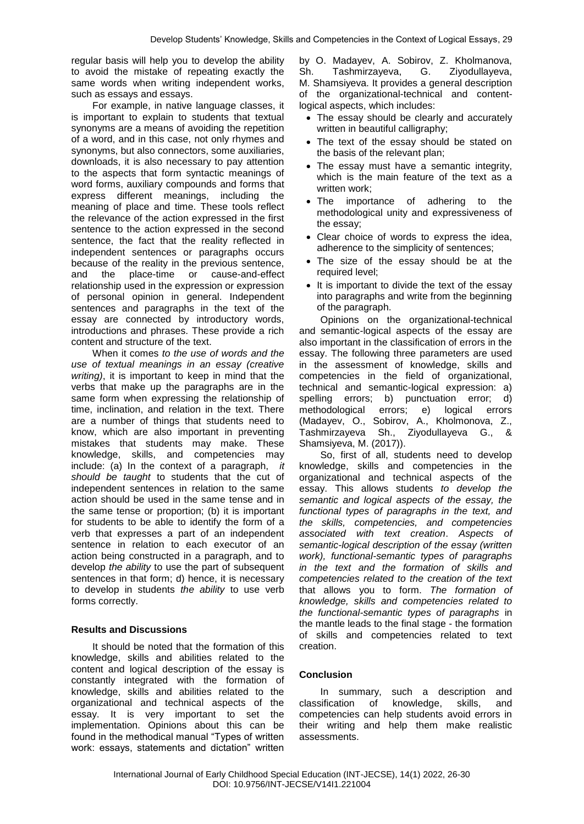regular basis will help you to develop the ability to avoid the mistake of repeating exactly the same words when writing independent works, such as essays and essays.

For example, in native language classes, it is important to explain to students that textual synonyms are a means of avoiding the repetition of a word, and in this case, not only rhymes and synonyms, but also connectors, some auxiliaries, downloads, it is also necessary to pay attention to the aspects that form syntactic meanings of word forms, auxiliary compounds and forms that express different meanings, including the meaning of place and time. These tools reflect the relevance of the action expressed in the first sentence to the action expressed in the second sentence, the fact that the reality reflected in independent sentences or paragraphs occurs because of the reality in the previous sentence, and the place-time or cause-and-effect relationship used in the expression or expression of personal opinion in general. Independent sentences and paragraphs in the text of the essay are connected by introductory words, introductions and phrases. These provide a rich content and structure of the text.

When it comes *to the use of words and the use of textual meanings in an essay (creative writing)*, it is important to keep in mind that the verbs that make up the paragraphs are in the same form when expressing the relationship of time, inclination, and relation in the text. There are a number of things that students need to know, which are also important in preventing mistakes that students may make. These knowledge, skills, and competencies may include: (a) In the context of a paragraph, *it should be taught* to students that the cut of independent sentences in relation to the same action should be used in the same tense and in the same tense or proportion; (b) it is important for students to be able to identify the form of a verb that expresses a part of an independent sentence in relation to each executor of an action being constructed in a paragraph, and to develop *the ability* to use the part of subsequent sentences in that form; d) hence, it is necessary to develop in students *the ability* to use verb forms correctly.

## **Results and Discussions**

It should be noted that the formation of this knowledge, skills and abilities related to the content and logical description of the essay is constantly integrated with the formation of knowledge, skills and abilities related to the organizational and technical aspects of the essay. It is very important to set the implementation. Opinions about this can be found in the methodical manual "Types of written work: essays, statements and dictation" written

by O. Madayev, A. Sobirov, Z. Kholmanova, Sh. Tashmirzayeva, G. Ziyodullayeva, M. Shamsiyeva. It provides a general description of the organizational-technical and contentlogical aspects, which includes:

- The essay should be clearly and accurately written in beautiful calligraphy;
- The text of the essay should be stated on the basis of the relevant plan;
- The essay must have a semantic integrity, which is the main feature of the text as a written work;
- The importance of adhering to the methodological unity and expressiveness of the essay;
- Clear choice of words to express the idea, adherence to the simplicity of sentences;
- The size of the essay should be at the required level;
- It is important to divide the text of the essay into paragraphs and write from the beginning of the paragraph.

Opinions on the organizational-technical and semantic-logical aspects of the essay are also important in the classification of errors in the essay. The following three parameters are used in the assessment of knowledge, skills and competencies in the field of organizational, technical and semantic-logical expression: a) spelling errors; b) punctuation error; d) methodological errors; e) logical errors (Madayev, O., Sobirov, A., Kholmonova, Z., Tashmirzayeva Sh., Ziyodullayeva G., & Shamsiyeva, M. (2017)).

So, first of all, students need to develop knowledge, skills and competencies in the organizational and technical aspects of the essay. This allows students *to develop the semantic and logical aspects of the essay, the functional types of paragraphs in the text, and the skills, competencies, and competencies associated with text creation*. *Aspects of semantic-logical description of the essay (written work), functional-semantic types of paragraphs in the text and the formation of skills and competencies related to the creation of the text* that allows you to form. *The formation of knowledge, skills and competencies related to the functional-semantic types of paragraphs* in the mantle leads to the final stage - the formation of skills and competencies related to text creation.

## **Conclusion**

In summary, such a description and classification of knowledge, skills, and competencies can help students avoid errors in their writing and help them make realistic assessments.